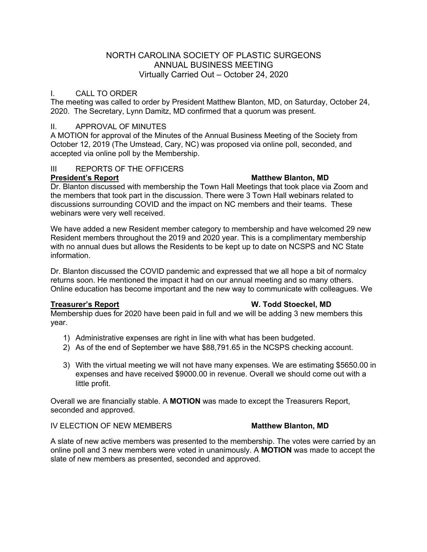## NORTH CAROLINA SOCIETY OF PLASTIC SURGEONS ANNUAL BUSINESS MEETING Virtually Carried Out – October 24, 2020

## I. CALL TO ORDER

The meeting was called to order by President Matthew Blanton, MD, on Saturday, October 24, 2020. The Secretary, Lynn Damitz, MD confirmed that a quorum was present.

### II. APPROVAL OF MINUTES

A MOTION for approval of the Minutes of the Annual Business Meeting of the Society from October 12, 2019 (The Umstead, Cary, NC) was proposed via online poll, seconded, and accepted via online poll by the Membership.

## III REPORTS OF THE OFFICERS

### **President's Report Matthew Blanton, MD**

Dr. Blanton discussed with membership the Town Hall Meetings that took place via Zoom and the members that took part in the discussion. There were 3 Town Hall webinars related to discussions surrounding COVID and the impact on NC members and their teams. These webinars were very well received.

We have added a new Resident member category to membership and have welcomed 29 new Resident members throughout the 2019 and 2020 year. This is a complimentary membership with no annual dues but allows the Residents to be kept up to date on NCSPS and NC State information.

Dr. Blanton discussed the COVID pandemic and expressed that we all hope a bit of normalcy returns soon. He mentioned the impact it had on our annual meeting and so many others. Online education has become important and the new way to communicate with colleagues. We

### **Treasurer's Report W. Todd Stoeckel, MD**

Membership dues for 2020 have been paid in full and we will be adding 3 new members this year.

- 1) Administrative expenses are right in line with what has been budgeted.
- 2) As of the end of September we have \$88,791.65 in the NCSPS checking account.
- 3) With the virtual meeting we will not have many expenses. We are estimating \$5650.00 in expenses and have received \$9000.00 in revenue. Overall we should come out with a little profit.

Overall we are financially stable. A **MOTION** was made to except the Treasurers Report, seconded and approved.

## **IV ELECTION OF NEW MEMBERS MATTLE MATTLEW MATTLEW MODEL**

A slate of new active members was presented to the membership. The votes were carried by an online poll and 3 new members were voted in unanimously. A **MOTION** was made to accept the slate of new members as presented, seconded and approved.